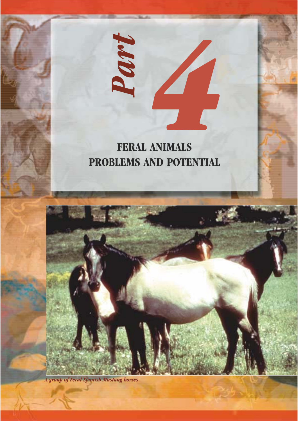



*A group of Feral Spanish Mustang horses*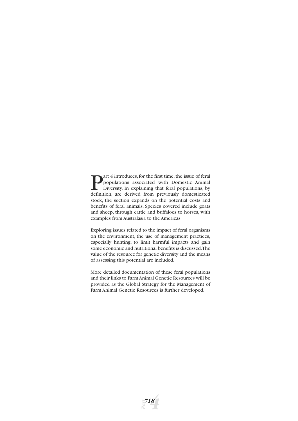**Part 4 introduces, for the first time, the issue of feral populations** associated with Domestic Animal Diversity. In explaining that feral populations, by definition. are derived from previously domesticated populations associated with Domestic Animal Diversity. In explaining that feral populations, by definition, are derived from previously domesticated stock, the section expands on the potential costs and benefits of feral animals. Species covered include goats and sheep, through cattle and buffaloes to horses, with examples from Australasia to the Americas.

Exploring issues related to the impact of feral organisms on the environment, the use of management practices, especially hunting, to limit harmful impacts and gain some economic and nutritional benefits is discussed.The value of the resource for genetic diversity and the means of assessing this potential are included.

More detailed documentation of these feral populations and their links to Farm Animal Genetic Resources will be provided as the Global Strategy for the Management of Farm Animal Genetic Resources is further developed.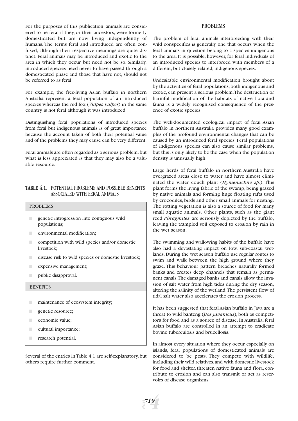For the purposes of this publication, animals are considered to be feral if they, or their ancestors, were formerly domesticated but are now living independently of humans. The terms feral and introduced are often confused, although their respective meanings are quite distinct. Feral animals may be introduced and exotic to the area in which they occur, but need not be so. Similarly, introduced species need never to have passed through a domesticated phase and those that have not, should not be referred to as feral.

For example, the free-living Asian buffalo in northern Australia represent a feral population of an introduced species whereas the red fox (*Vulpes vulpes*) in the same country is not feral although it was introduced.

Distinguishing feral populations of introduced species from feral but indigenous animals is of great importance because the account taken of both their potential value and of the problems they may cause can be very different.

Feral animals are often regarded as a serious problem,but what is less appreciated is that they may also be a valuable resource.

## **TABLE 4.1.** POTENTIAL PROBLEMS AND POSSIBLE BENEFITS ASSOCIATED WITH FERAL ANIMALS

#### PROBLEMS

- genetic introgression into contiguous wild populations;
- environmental modification:
- $\Box$  competition with wild species and/or domestic livestock;
- **EXECUTE:** disease risk to wild species or domestic livestock;
- expensive management;
- public disapproval.

#### **BENEFITS**

- **■** maintenance of ecosystem integrity;
- genetic resource:
- economic value;
- cultural importance;
- **Exerch potential.**

Several of the entries in Table 4.1 are self-explanatory, but others require further comment.

#### PROBLEMS

The problem of feral animals interbreeding with their wild conspecifics is generally one that occurs when the feral animals in question belong to a species indigenous to the area. It is possible, however, for feral individuals of an introduced species to interbreed with members of a different, but closely related, indigenous species.

Undesirable environmental modification brought about by the activities of feral populations, both indigenous and exotic, can present a serious problem.The destruction or harmful modification of the habitats of native flora and fauna is a widely recognised consequence of the presence of exotic species.

The well-documented ecological impact of feral Asian buffalo in northern Australia provides many good examples of the profound environmental changes that can be caused by an introduced feral species. Feral populations of indigenous species can also cause similar problems, but this is only likely to be the case when the population density is unusually high.

Large herds of feral buffalo in northern Australia have overgrazed areas close to water and have almost eliminated the water couch plant (*Hymenachne sp*.). This plant forms the living fabric of the swamp, being grazed by native animals and forming huge floating rafts used by crocodiles, birds and other small animals for nesting. The rotting vegetation is also a source of food for many small aquatic animals. Other plants, such as the giant reed *Phragmites*, are seriously depleted by the buffalo, leaving the trampled soil exposed to erosion by rain in the wet season.

The swimming and wallowing habits of the buffalo have also had a devastating impact on low, sub-coastal wetlands. During the wet season buffalo use regular routes to swim and walk between the high ground where they graze. This behaviour pattern breaches naturally formed banks and creates deep channels that remain as permanent canals.The damaged banks and canals allow the invasion of salt water from high tides during the dry season, altering the salinity of the wetland.The persistent flow of tidal salt water also accelerates the erosion process.

It has been suggested that feral Asian buffalo in Java are a threat to wild banteng (*Bos javanicus*), both as competitors for food and as a source of disease. In Australia, feral Asian buffalo are controlled in an attempt to eradicate bovine tuberculosis and brucellosis.

In almost every situation where they occur, especially on islands, feral populations of domesticated animals are considered to be pests. They compete with wildlife, including their wild relatives, and with domestic livestock for food and shelter, threaten native fauna and flora, contribute to erosion and can also transmit or act as reservoirs of disease organisms.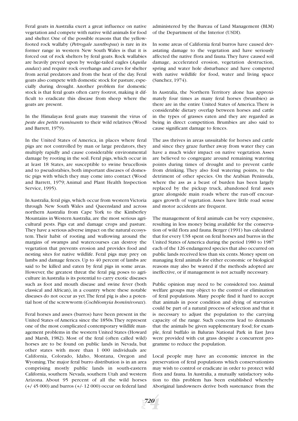Feral goats in Australia exert a great influence on native vegetation and compete with native wild animals for food and shelter. One of the possible reasons that the yellowfooted rock wallaby (*Petrogale xanthopus*) is rare in its former range in western New South Wales is that it is forced out of rock shelters by feral goats. Rock wallabies are heavily preyed upon by wedge-tailed eagles (*Aquila audax*) and require rock overhangs and caves for shelter from aerial predators and from the heat of the day. Feral goats also compete with domestic stock for pasture, especially during drought. Another problem for domestic stock is that feral goats often carry footrot, making it difficult to eradicate this disease from sheep where the goats are present.

In the Himalayas feral goats may transmit the virus of *peste des petits ruminants* to their wild relatives (Wood and Barrett, 1979).

In the United States of America, in places where feral pigs are not controlled by man or large predators, they multiply rapidly and cause considerable environmental damage by rooting in the soil. Feral pigs, which occur in at least 18 States, are susceptible to swine brucellosis and to pseudorabies, both important diseases of domestic pigs with which they may come into contact (Wood and Barrett, 1979; Animal and Plant Health Inspection Service, 1995).

In Australia, feral pigs, which occur from western Victoria through New South Wales and Queensland and across northern Australia from Cape York to the Kimberley Mountains in Western Australia, are the most serious agricultural pests. Pigs eat and damage crops and pasture. They have a serious adverse impact on the natural ecosystem. Their habit of rooting and wallowing around the margins of swamps and watercourses can destroy the vegetation that prevents erosion and provides food and nesting sites for native wildlife. Feral pigs may prey on lambs and damage fences. Up to 40 percent of lambs are said to be killed and eaten by feral pigs in some areas. However, the greatest threat the feral pig poses to agriculture in Australia is its potential to carry exotic diseases such as foot and mouth disease and swine fever (both classical and African), in a country where these notable diseases do not occur as yet.The feral pig is also a potential host of the screwworm (*Cochliomyia hominivorax*).

Feral horses and asses (burros) have been present in the United States of America since the 1850s.They represent one of the most complicated contemporary wildlife management problems in the western United States (Howard and Marsh, 1982). Most of the feral (often called wild) horses are to be found on public lands in Nevada, but other states with more than 1 000 individuals are California, Colorado, Idaho, Montana, Oregon and Wyoming.The major feral burro distribution is in an area comprising mostly public lands in south-eastern California, southern Nevada, southern Utah and western Arizona. About 95 percent of all the wild horses (+/ 45 000) and burros (+/- 12 000) occur on federal land administered by the Bureau of Land Management (BLM) of the Department of the Interior (USDI).

In some areas of California feral burros have caused devastating damage to the vegetation and have seriously affected the native flora and fauna.They have caused soil damage, accelerated erosion, vegetation destruction, spring and water hole disturbance and have competed with native wildlife for food, water and living space (Sanchez, 1974).

In Australia, the Northern Territory alone has approximately four times as many feral horses (brumbies) as there are in the entire United States of America.There is considerable dietary overlap between horses and cattle in the types of grasses eaten and they are regarded as being in direct competition. Brumbies are also said to cause significant damage to fences.

The ass thrives in areas unsuitable for horses and cattle and since they graze further away from water they can have a much wider impact on native vegetation. Asses are believed to congregate around remaining watering points during times of drought and to prevent cattle from drinking. They also foul watering points, to the detriment of other species. On the Arabian Peninsula, where the ass as a beast of burden has been largely replaced by the pickup truck, abandoned feral asses graze alongside main roads where the run-off encourages growth of vegetation. Asses have little road sense and motor accidents are frequent.

The management of feral animals can be very expensive, resulting in less money being available for the conservation of wild flora and fauna. Berger (1991) has calculated that for every US\$ spent on feral horses and burros in the United States of America during the period 1980 to 1987 each of the 126 endangered species that also occurred on public lands received less than six cents. Money spent on managing feral animals for either economic or biological reasons may also be wasted if the methods adopted are ineffective, or if management is not actually necessary.

Public opinion may need to be considered too. Animal welfare groups may object to the control or elimination of feral populations. Many people find it hard to accept that animals in poor condition and dying of starvation could be part of a natural process of selection and that it is necessary to adjust the population to the carrying capacity of the range. Such concerns lead to demands that the animals be given supplementary food; for example, feral buffalo in Baluran National Park in East Java were provided with cut grass despite a concurrent programme to reduce the population.

Local people may have an economic interest in the preservation of feral populations which conservationists may wish to control or eradicate in order to protect wild flora and fauna. In Australia, a mutually satisfactory solution to this problem has been established whereby Aboriginal landowners derive both sustenance from the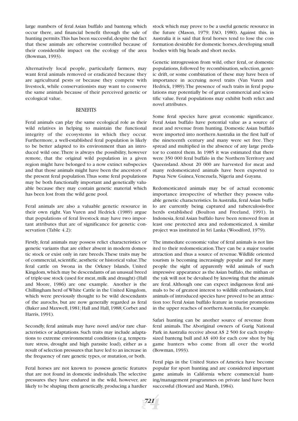large numbers of feral Asian buffalo and banteng which occur there, and financial benefit through the sale of hunting permits. This has been successful, despite the fact that these animals are otherwise controlled because of their considerable impact on the ecology of the area (Bowman, 1993).

Alternatively local people, particularly farmers, may want feral animals removed or eradicated because they are agricultural pests or because they compete with livestock, while conservationists may want to conserve the same animals because of their perceived genetic or ecological value.

#### **BENEFITS**

Feral animals can play the same ecological role as their wild relatives in helping to maintain the functional integrity of the ecosystems in which they occur. Furthermore, a well-established feral population is likely to be better adapted to its environment than an introduced wild one.There is always the possibility, however remote, that the original wild population in a given region might have belonged to a now extinct subspecies and that those animals might have been the ancestors of the present feral population.Thus some feral populations may be both functionally important and genetically valuable because they may contain genetic material which has been lost from the wild gene pool.

Feral animals are also a valuable genetic resource in their own right. Van Vuren and Hedrick (1989) argue that populations of feral livestock may have two important attributes that are of significance for genetic conservation (Table 4.2):

Firstly, feral animals may possess relict characteristics or genetic variants that are either absent in modern domestic stock or exist only in rare breeds.These traits may be of commercial, scientific, aesthetic or historical value. The feral cattle on Swona in the Orkney Islands, United Kingdom,which may be descendants of an unusual breed of triple-use stock (used for meat, milk and draught) (Hall and Moore, 1986) are one example. Another is the Chillingham herd of White Cattle in the United Kingdom, which were previously thought to be wild descendants of the aurochs, but are now generally regarded as feral (Baker and Maxwell, 1981; Hall and Hall, 1988; Corbet and Harris, 1991).

Secondly, feral animals may have novel and/or rare characteristics or adaptations. Such traits may include adaptations to extreme environmental conditions (e.g. temperature stress, drought and high parasite load), either as a result of selection pressures that have led to an increase in the frequency of rare genetic types, or mutation, or both.

Feral horses are not known to possess genetic features that are not found in domestic individuals.The selective pressures they have endured in the wild, however, are likely to be shaping them genetically, producing a hardier

stock which may prove to be a useful genetic resource in the future (Mason, 1979; FAO, 1980). Against this, in Australia it is said that feral horses tend to lose the conformation desirable for domestic horses, developing small bodies with big heads and short necks.

Genetic introgression from wild, other feral, or domestic populations, followed by recombination, selection, genetic drift, or some combination of these may have been of importance in accruing novel traits (Van Vuren and Hedrick, 1989).The presence of such traits in feral populations may potentially be of great commercial and scientific value. Feral populations may exhibit both relict and novel attributes.

Some feral species have great economic significance. Feral Asian buffalo have potential value as a source of meat and revenue from hunting. Domestic Asian buffalo were imported into northern Australia in the first half of the nineteenth century and many were set free. They spread and multiplied in the absence of any large predator to control them. In 1985 it was estimated that there were 350 000 feral buffalo in the Northern Territory and Queensland. About 20 000 are harvested for meat and many redomesticated animals have been exported to Papua New Guinea,Venezuela, Nigeria and Guyana.

Redomesticated animals may be of actual economic importance irrespective of whether they possess valuable genetic characteristics. In Australia, feral Asian buffalo are currently being captured and tuberculosis-free herds established (Boulton and Freeland, 1991). In Indonesia, feral Asian buffalo have been removed from at least one protected area and redomesticated. A similar project was instituted in Sri Lanka (Woodford, 1979).

The immediate economic value of feral animals is not limited to their redomestication.They can be a major tourist attraction and thus a source of revenue.Wildlife oriented tourism is becoming increasingly popular and for many people the sight of apparently wild animals of such impressive appearance as the Asian buffalo, the mithan or the yak will not be devalued by knowing that the animals are feral. Although one can expect indigenous feral animals to be of greatest interest to wildlife enthusiasts, feral animals of introduced species have proved to be an attraction too: Feral Asian buffalo feature in tourist promotions in the upper reaches of northern Australia, for example.

Safari hunting can be another source of revenue from feral animals. The Aboriginal owners of Gurig National Park in Australia receive about A\$ 2 500 for each trophysized banteng bull and A\$ 400 for each cow shot by big game hunters who come from all over the world (Bowman, 1993).

Feral pigs in the United States of America have become popular for sport hunting and are considered important game animals in California where commercial hunting/management programmes on private land have been successful (Howard and Marsh, 1984).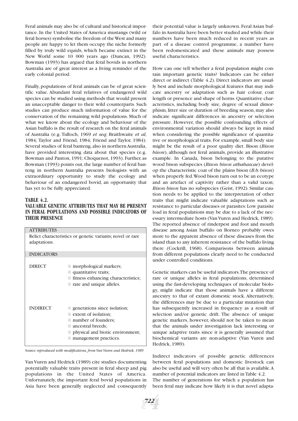Feral animals may also be of cultural and historical importance. In the United States of America mustangs (wild or feral horses) symbolise the freedom of the West and many people are happy to let them occupy the niche formerly filled by truly wild equids, which became extinct in the New World some 10 000 years ago (Duncan, 1992). Bowman (1993) has argued that feral bovids in northern Australia are of great interest as a living reminder of the early colonial period.

Finally, populations of feral animals can be of great scientific value. Abundant feral relatives of endangered wild species can be studied using methods that would present an unacceptable danger to their wild counterparts. Such studies can produce much information of value for the conservation of the remaining wild populations. Much of what we know about the ecology and behaviour of the Asian buffalo is the result of research on the feral animals of Australia (e.g. Tulloch, 1969 *et seq*; Braithwaite *et al,* 1984*;* Taylor and Friend, 1984*;* Friend and Taylor, 1984). Several studies of feral banteng,also in northern Australia, have provided interesting data about that species (e.g. Bowman and Panton, 1991; Choquenot, 1993). Further, as Bowman (1993) points out, the large number of feral banteng in northern Australia presents biologists with an extraordinary opportunity to study the ecology and behaviour of an endangered bovid, an opportunity that has yet to be fully appreciated.

#### **TABLE 4.2.**

## **VALUABLE GENETIC ATTRIBUTES THAT MAY BE PRESENT IN FERAL POPULATIONS AND POSSIBLE INDICATORS OF THEIR PRESENCE**

| <b>ATTRIBUTES</b>                                         |                                                                                                                                                                        |  |  |
|-----------------------------------------------------------|------------------------------------------------------------------------------------------------------------------------------------------------------------------------|--|--|
| Relict characteristics or genetic variants; novel or rare |                                                                                                                                                                        |  |  |
| adaptations.                                              |                                                                                                                                                                        |  |  |
| <b>INDICATORS</b>                                         |                                                                                                                                                                        |  |  |
| <b>DIRECT</b>                                             | morphological markers;<br>quantitative traits;<br>■ fitness enhancing characteristics;<br>$\Box$ rare and unique alleles.                                              |  |  |
| <b>INDIRECT</b>                                           | $\Box$ generations since isolation;<br>extent of isolation:<br>■ number of founders;<br>ancestral breeds;<br>physical and biotic environment;<br>management practices. |  |  |

Source: *reproduced with modifications, from Van Vuren and Hedrick, 1989*

Van Vuren and Hedrick (1989) cite studies documenting potentially valuable traits present in feral sheep and pig populations in the United States of America. Unfortunately, the important feral bovid populations in Asia have been generally neglected and consequently

their potential value is largely unknown. Feral Asian buffalo in Australia have been better studied and while their numbers have been much reduced in recent years as part of a disease control programme, a number have been redomesticated and these animals may possess useful characteristics.

How can one tell whether a feral population might contain important genetic traits? Indicators can be either direct or indirect (Table 4.2). Direct indicators are usually best and include morphological features that may indicate ancestry or adaptation such as hair colour, coat length or presence and shape of horns.Quantitative characteristics, including body size, degree of sexual dimorphism, litter size or duration of breeding season, may also indicate significant differences in ancestry or selection pressure. However, the possible confounding effects of environmental variation should always be kept in mind when considering the possible significance of quantitative or morphological traits. For example, small body size might be the result of a poor quality diet. Bison (*Bison bison*), although not feral animals, provide an illustrative example. In Canada, bison belonging to the putative wood bison subspecies (*Bison bison athabascae*) develop the characteristic coat of the plains bison (*B.b. bison*) when properly fed.Wood bison turn out to be an ecotype and an artefact of captivity rather than a valid taxon; *Bison bison* has no subspecies (Geist, 1992). Similar caution needs to be applied to the interpretation of other traits that might indicate valuable adaptations such as resistance to particular diseases or parasites:Low parasite load in feral populations may be due to a lack of the necessary intermediate hosts (Van Vuren and Hedrick, 1989). The reported absence of rinderpest and foot and mouth disease among Asian buffalo on Borneo probably owes more to the apparent absence of these diseases from the island than to any inherent resistance of the buffalo living there (Cockrill, 1968). Comparisons between animals from different populations clearly need to be conducted under controlled conditions.

Genetic markers can be useful indicators.The presence of rare or unique alleles in feral populations, determined using the fast-developing techniques of molecular biology, might indicate that those animals have a different ancestry to that of extant domestic stock. Alternatively, the differences may be due to a particular mutation that has subsequently increased in frequency as a result of selection and/or genetic drift. The absence of unique genetic markers, however, should not be taken to mean that the animals under investigation lack interesting or unique adaptive traits since it is generally assumed that biochemical variants are non-adaptive (Van Vuren and Hedrick, 1989).

Indirect indicators of possible genetic differences between feral populations and domestic livestock can also be useful and will very often be all that is available.A number of potential indicators are listed in Table 4.2.

The number of generations for which a population has been feral may indicate how likely it is that novel adapta-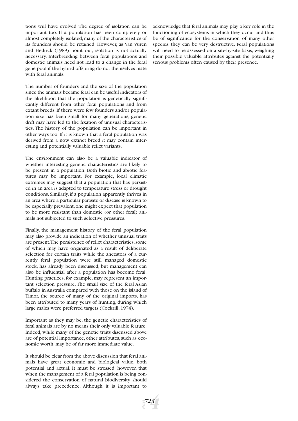tions will have evolved. The degree of isolation can be important too. If a population has been completely or almost completely isolated, many of the characteristics of its founders should be retained. However, as Van Vuren and Hedrick (1989) point out, isolation is not actually necessary. Interbreeding between feral populations and domestic animals need not lead to a change in the feral gene pool if the hybrid offspring do not themselves mate with feral animals.

The number of founders and the size of the population since the animals became feral can be useful indicators of the likelihood that the population is genetically significantly different from other feral populations and from extant breeds. If there were few founders and/or population size has been small for many generations, genetic drift may have led to the fixation of unusual characteristics. The history of the population can be important in other ways too. If it is known that a feral population was derived from a now extinct breed it may contain interesting and potentially valuable relict variants.

The environment can also be a valuable indicator of whether interesting genetic characteristics are likely to be present in a population. Both biotic and abiotic features may be important. For example, local climatic extremes may suggest that a population that has persisted in an area is adapted to temperature stress or drought conditions. Similarly, if a population apparently thrives in an area where a particular parasite or disease is known to be especially prevalent,one might expect that population to be more resistant than domestic (or other feral) animals not subjected to such selective pressures.

Finally, the management history of the feral population may also provide an indication of whether unusual traits are present. The persistence of relict characteristics, some of which may have originated as a result of deliberate selection for certain traits while the ancestors of a currently feral population were still managed domestic stock, has already been discussed, but management can also be influential after a population has become feral. Hunting practices, for example, may represent an important selection pressure. The small size of the feral Asian buffalo in Australia compared with those on the island of Timor, the source of many of the original imports, has been attributed to many years of hunting, during which large males were preferred targets (Cockrill, 1974).

Important as they may be, the genetic characteristics of feral animals are by no means their only valuable feature. Indeed, while many of the genetic traits discussed above are of potential importance, other attributes, such as economic worth, may be of far more immediate value.

It should be clear from the above discussion that feral animals have great economic and biological value, both potential and actual. It must be stressed, however, that when the management of a feral population is being considered the conservation of natural biodiversity should always take precedence. Although it is important to

acknowledge that feral animals may play a key role in the functioning of ecosystems in which they occur and thus be of significance for the conservation of many other species, they can be very destructive. Feral populations will need to be assessed on a site-by-site basis, weighing their possible valuable attributes against the potentially serious problems often caused by their presence.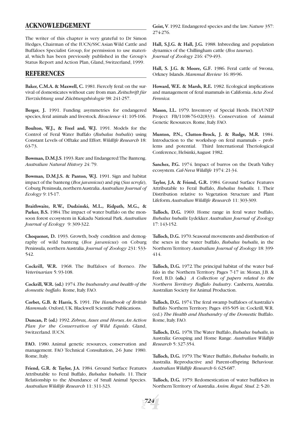# **ACKNOWLEDGEMENT**

The writer of this chapter is very grateful to Dr Simon Hedges, Chairman of the IUCN/SSC Asian Wild Cattle and Buffaloes Specialist Group, for permission to use material, which has been previously published in the Group's Status Report and Action Plan, Gland, Switzerland, 1999.

# **REFERENCES**

**Baker, C.M.A. & Maxwell, C.** 1981.Fiercely feral:on the survival of domesticates without care from man.*Zeitschrift für Tierzüchtung und Züchtungsbiologie* 98: 241-257.

**Berger, J.** 1991. Funding asymmetries for endangered species, feral animals and livestock.*Bioscience* 41: 105-106.

**Boulton, W.J., & Freel and, W.J.** 1991. Models for the Control of Feral Water Buffalo (*Bubalus bubalis*) using Constant Levels of Offtake and Effort.*Wildlife Research* 18: 63-73.

**Bowman, D.M.J.S**.1993.Rare and Endangered:The Banteng. *Australian Natural History* 24: 79.

**Bowman, D.M.J.S. & Panton, W.J.** 1991. Sign and habitat impact of the banteng (*Bos javanicus*) and pig (*Sus scrofa*), Coburg Peninsula,northern Australia.*Australian Journal of Ecology* 9: 15-17.

**Braithwaite, R.W., Dudzinski, M.L., Ridpath, M.G., & Parker, B.S.** 1984.The impact of water buffalo on the monsoon forest ecosystem in Kakadu National Park.*Australian Journal of Ecology* 9: 309-322.

**Choquenot, D.** 1993. Growth, body condition and demography of wild banteng (*Bos javanicus*) on Coburg Peninsula, northern Australia.*Journal of Zoology* 231: 533- 542.

**Cockrill, W.R.** 1968. The Buffaloes of Borneo. *The Veterinarian* 5: 93-108.

**Cockrill, W.R. (ed.)** 1974.*The husbandry and health of the domestic buffalo.* Rome, Italy. FAO.

**Corbet, G.B. & Harris, S.** 1991. *The Handbook of British Mammals*. Oxford, UK. Blackwell Scientific Publications.

**Duncan, P. (ed.)** 1992.*Zebras, Asses and Horses.An Action Plan for the Conservation of Wild Equids*. Gland, Switzerland. IUCN.

**FAO.** 1980. Animal genetic resources, conservation and management. FAO Technical Consultation, 2-6 June 1980. Rome, Italy.

**Friend, G.R. & Taylor, J.A.** 1984. Ground Surface Features Attributable to Feral Buffalo, *Bubalus bubalis*. 11. Their Relationship to the Abundance of Small Animal Species. *Australian Wildlife Research* 11: 311-323.

**Geist, V**.1992.Endangered species and the law.*Nature* 357: 274-276.

**Hall, S.J.G. & Hall, J.G.** 1988. Inbreeding and population dynamics of the Chillingham cattle (*Bos taurus*). *Journal of Zoology* 216: 479-493.

**Hall, S. J.G. & Moore, G.F.** 1986. Feral cattle of Swona, Orkney Islands. *Mammal Review* 16: 89-96.

**Howard, W.E. & Marsh, R.E.** 1982. Ecological implications and management of feral mammals in California.*Acta Zool. Fennica.*

**Mason, I.L.** 1979. Inventory of Special Herds. FAO/UNEP Project FB/1108-76-02(833). Conservation of Animal Genetic Resources. Rome, Italy. FAO.

**Munton, P.N., Clutton-Brock, J. & Rudge, M.R.** 1984. Introduction to the workshop on feral mammals – problems and potential. Third International Theriological Conference, Helsinki,August 1982.

**Sanchez, P.G.** 1974. Impact of burros on the Death Valley ecosystem.*Cal-Neva Wildlife* 1974: 21-34.

**Taylor, J.A. & Friend, G.R.** 1984. Ground Surface Features Attributable to Feral Buffalo, *Bubalus bubalis.* 1. Their Distribution relative to Vegetation Structure and Plant Lifeform*.Australian Wildlife Research* 11: 303-309.

**Tulloch, D.G.** 1969. Home range in feral water buffalo, *Bubalus bubalis* Lydekker. *Australian Journal of Zoology* 17: 143-152.

**Tulloch, D.G.** 1970.Seasonal movements and distribution of the sexes in the water buffalo, *Bubalus bubalis*, in the Northern Territory.*Australian Journal of Zoology* 18: 399- 414.

**Tulloch, D.G.** 1972.The principal habitat of the water buffalo in the Northern Territory. Pages 7-17 in: Moran, J.B. & Ford, B.D. **(eds.)** *A Collection of papers related to the Northern Territory Buffalo Industry*. Canberra, Australia. Australian Society for Animal Production.

**Tulloch, D.G.** 1974.The feral swamp buffaloes of Australia's Buffalo Northern Territory. Pages 493-505 in: Cockrill,W.R. (ed.) *The Health and Husbandry of the Domestic* Buffalo. Rome, Italy. FAO.

**Tulloch, D.G.** 1978.The Water Buffalo, *Bubalus bubalis*, in Australia: Grouping and Home Range. *Australian Wildlife Research* 5: 327-354.

**Tulloch, D.G.** 1979.The Water Buffalo, *Bubalus bubalis*, in Australia. Reproductive and Parent-offspring Behaviour. *Australian Wildlife Research* 6: 625-687.

**Tulloch, D.G.** 1979. Redomestication of water buffaloes in Northern Territory of Australia.*Anim.Regul. Stud*. 2: 5-20.

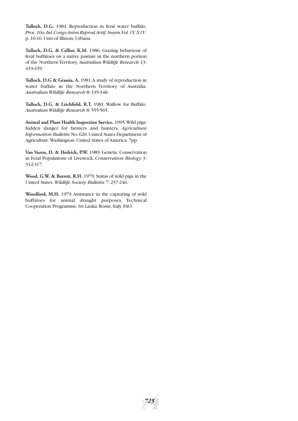**Tulloch, D.G.** 1984. Reproduction in feral water buffalo. *Proc.10th.Int.Congr.Anim.Reprod.Artif. Insem.Vol.1V, X1V*. p. 10-16. Univ.of Illinois, Urbana.

**Tulloch, D.G. & Cellier, K.M.** 1986. Grazing behaviour of feral buffaloes on a native pasture in the northern portion of the Northern Territory.*Australian Wildlife Research* 13: 433-439.

**Tulloch, D.G & Grassia, A.** 1981.A study of reproduction in water buffalo in the Northern Territory of Australia. *Australian Wildlife Research* 8: 335-348.

**Tulloch, D.G. & Litchfield, R.T.** 1981. Wallow for Buffalo. *Australian Wildlife Research* 8: 555-565.

**Animal and Plant Health Inspection Service.** 1995.Wild pigs: hidden danger for farmers and hunters. *Agriculture Information Bulletin* No:620.United States Department of Agriculture.Washington, United States of America. 7pp.

**Van Vuren, D. & Hedrick, P.W.** 1989. Genetic Conservation in Feral Populations of Livestock. *Conservation Biology* 3: 312-317.

**Wood, G.W. & Barrett, R.H.** 1979.Status of wild pigs in the United States.*Wildlife Society Bulletin* 7: 237-246.

**Woodford, M.H.** 1979.Assistance in the capturing of wild buffaloes for animal draught purposes. Technical Cooperation Programme, Sri Lanka. Rome, Italy. FAO.